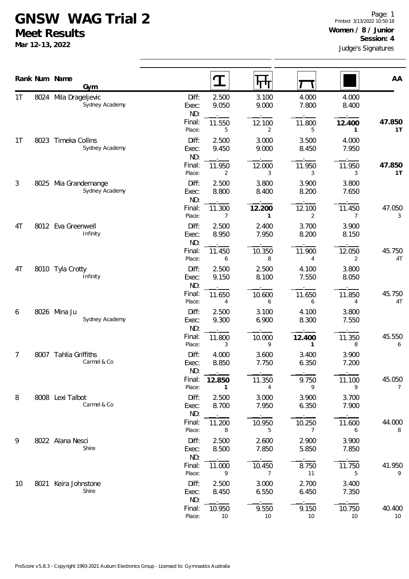## **GNSW WAG Trial 2**

**Meet Results**

**Mar 12-13, 2022**

|                |      | Rank Num Name<br>Gym                    |                       |                          |                          |                          |                          |                          |
|----------------|------|-----------------------------------------|-----------------------|--------------------------|--------------------------|--------------------------|--------------------------|--------------------------|
|                |      |                                         |                       | $\mathbf T$              | पाप                      |                          |                          | AA                       |
| 1 <sub>T</sub> |      | 8024 Mila Drageljevic<br>Sydney Academy | Diff:<br>Exec:<br>ND: | 2.500<br>9.050           | 3.100<br>9.000           | 4.000<br>7.800           | 4.000<br>8.400           |                          |
|                |      |                                         | Final:<br>Place:      | 11.550<br>5              | 12.100<br>2              | 11.800<br>5              | 12.400<br>1              | 47.850<br>1T             |
| 1 <sub>T</sub> |      | 8023 Timeka Collins<br>Sydney Academy   | Diff:<br>Exec:<br>ND: | 2.500<br>9.450           | 3.000<br>9.000           | 3.500<br>8.450           | 4.000<br>7.950           |                          |
|                |      |                                         | Final:<br>Place:      | 11.950<br>$\overline{2}$ | 12.000<br>3              | 11.950<br>3              | 11.950<br>3              | 47.850<br>1T             |
| 3              |      | 8025 Mia Grandemange<br>Sydney Academy  | Diff:<br>Exec:<br>ND: | 2.500<br>8.800           | 3.800<br>8.400           | 3.900<br>8.200           | 3.800<br>7.650           |                          |
|                |      |                                         | Final:<br>Place:      | 11.300<br>$\overline{7}$ | 12.200<br>1              | 12.100<br>$\overline{2}$ | 11.450<br>$\overline{7}$ | 47.050<br>3              |
| 4T             |      | 8012 Eva Greenwell<br>Infinity          | Diff:<br>Exec:<br>ND: | 2.500<br>8.950           | 2.400<br>7.950           | 3.700<br>8.200           | 3.900<br>8.150           |                          |
|                |      |                                         | Final:<br>Place:      | 11.450<br>6              | 10.350<br>8              | 11.900<br>4              | 12.050<br>2              | 45.750<br>4T             |
| 4T             |      | 8010 Tyla Crotty<br>Infinity            | Diff:<br>Exec:<br>ND: | 2.500<br>9.150           | 2.500<br>8.100           | 4.100<br>7.550           | 3.800<br>8.050           |                          |
|                |      |                                         | Final:<br>Place:      | 11.650<br>4              | 10.600<br>6              | 11.650<br>6              | 11.850<br>4              | 45.750<br>4T             |
| 6              |      | 8026 Mina Ju<br>Sydney Academy          | Diff:<br>Exec:<br>ND: | 2.500<br>9.300           | 3.100<br>6.900           | 4.100<br>8.300           | 3.800<br>7.550           |                          |
|                |      |                                         | Final:<br>Place:      | 11.800<br>3              | 10.000<br>9              | 12.400<br>$\mathbf{1}$   | 11.350<br>8              | 45.550<br>6              |
| 7              | 8007 | Tahlia Griffiths<br>Carmel & Co         | Diff:<br>Exec:<br>ND: | 4.000<br>8.850           | 3.600<br>7.750           | 3.400<br>6.350           | 3.900<br>7.200           |                          |
|                |      |                                         | Final:<br>Place:      | 12.850<br>1              | 11.350<br>4              | 9.750<br>9               | 11.100<br>9              | 45.050<br>$\overline{7}$ |
| 8              |      | 8008 Lexi Talbot<br>Carmel & Co         | Diff:<br>Exec:<br>ND: | 2.500<br>8.700           | 3.000<br>7.950           | 3.900<br>6.350           | 3.700<br>7.900           |                          |
|                |      |                                         | Final:<br>Place:      | 11.200<br>8              | 10.950<br>5              | 10.250<br>$\overline{7}$ | 11.600<br>6              | 44.000<br>8              |
| 9              |      | 8022 Alana Nesci<br>Shire               | Diff:<br>Exec:<br>ND: | 2.500<br>8.500           | 2.600<br>7.850           | 2.900<br>5.850           | 3.900<br>7.850           |                          |
|                |      |                                         | Final:<br>Place:      | 11.000<br>9              | 10.450<br>$\overline{7}$ | 8.750<br>11              | 11.750<br>5              | 41.950<br>9              |
| 10             |      | 8021 Keira Johnstone<br>Shire           | Diff:<br>Exec:<br>ND: | 2.500<br>8.450           | 3.000<br>6.550           | 2.700<br>6.450           | 3.400<br>7.350           |                          |
|                |      |                                         | Final:<br>Place:      | 10.950<br>10             | 9.550<br>10              | 9.150<br>10              | 10.750<br>10             | 40.400<br>10             |